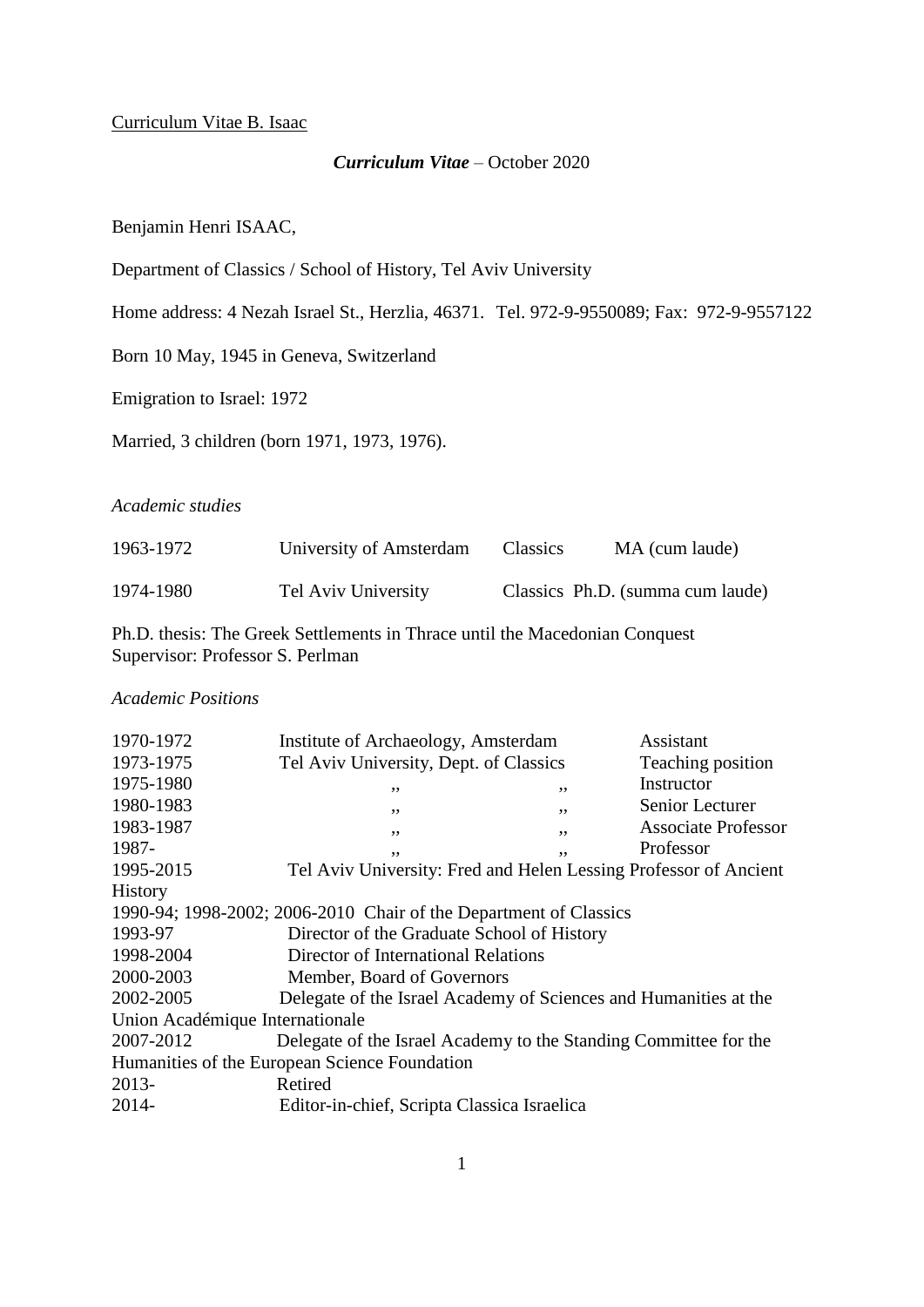#### *Curriculum Vitae* – October 2020

Benjamin Henri ISAAC,

Department of Classics / School of History, Tel Aviv University

Home address: 4 Nezah Israel St., Herzlia, 46371. Tel. 972-9-9550089; Fax: 972-9-9557122

Born 10 May, 1945 in Geneva, Switzerland

Emigration to Israel: 1972

Married, 3 children (born 1971, 1973, 1976).

### *Academic studies*

| 1963-1972 | University of Amsterdam | <b>Classics</b> | MA (cum laude)                   |
|-----------|-------------------------|-----------------|----------------------------------|
| 1974-1980 | Tel Aviv University     |                 | Classics Ph.D. (summa cum laude) |

Ph.D. thesis: The Greek Settlements in Thrace until the Macedonian Conquest Supervisor: Professor S. Perlman

#### *Academic Positions*

| 1970-1972                       | Institute of Archaeology, Amsterdam                               |    | Assistant                  |
|---------------------------------|-------------------------------------------------------------------|----|----------------------------|
| 1973-1975                       | Tel Aviv University, Dept. of Classics                            |    | Teaching position          |
| 1975-1980                       | ,,                                                                | ,, | Instructor                 |
| 1980-1983                       | ,,                                                                | ,, | Senior Lecturer            |
| 1983-1987                       | , ,                                                               | ,, | <b>Associate Professor</b> |
| 1987-                           | ,,                                                                | ,, | Professor                  |
| 1995-2015                       | Tel Aviv University: Fred and Helen Lessing Professor of Ancient  |    |                            |
| History                         |                                                                   |    |                            |
|                                 | 1990-94; 1998-2002; 2006-2010 Chair of the Department of Classics |    |                            |
| 1993-97                         | Director of the Graduate School of History                        |    |                            |
| 1998-2004                       | Director of International Relations                               |    |                            |
| 2000-2003                       | Member, Board of Governors                                        |    |                            |
| 2002-2005                       | Delegate of the Israel Academy of Sciences and Humanities at the  |    |                            |
| Union Académique Internationale |                                                                   |    |                            |
| 2007-2012                       | Delegate of the Israel Academy to the Standing Committee for the  |    |                            |
|                                 | Humanities of the European Science Foundation                     |    |                            |
| 2013-                           | Retired                                                           |    |                            |
| 2014-                           | Editor-in-chief, Scripta Classica Israelica                       |    |                            |
|                                 |                                                                   |    |                            |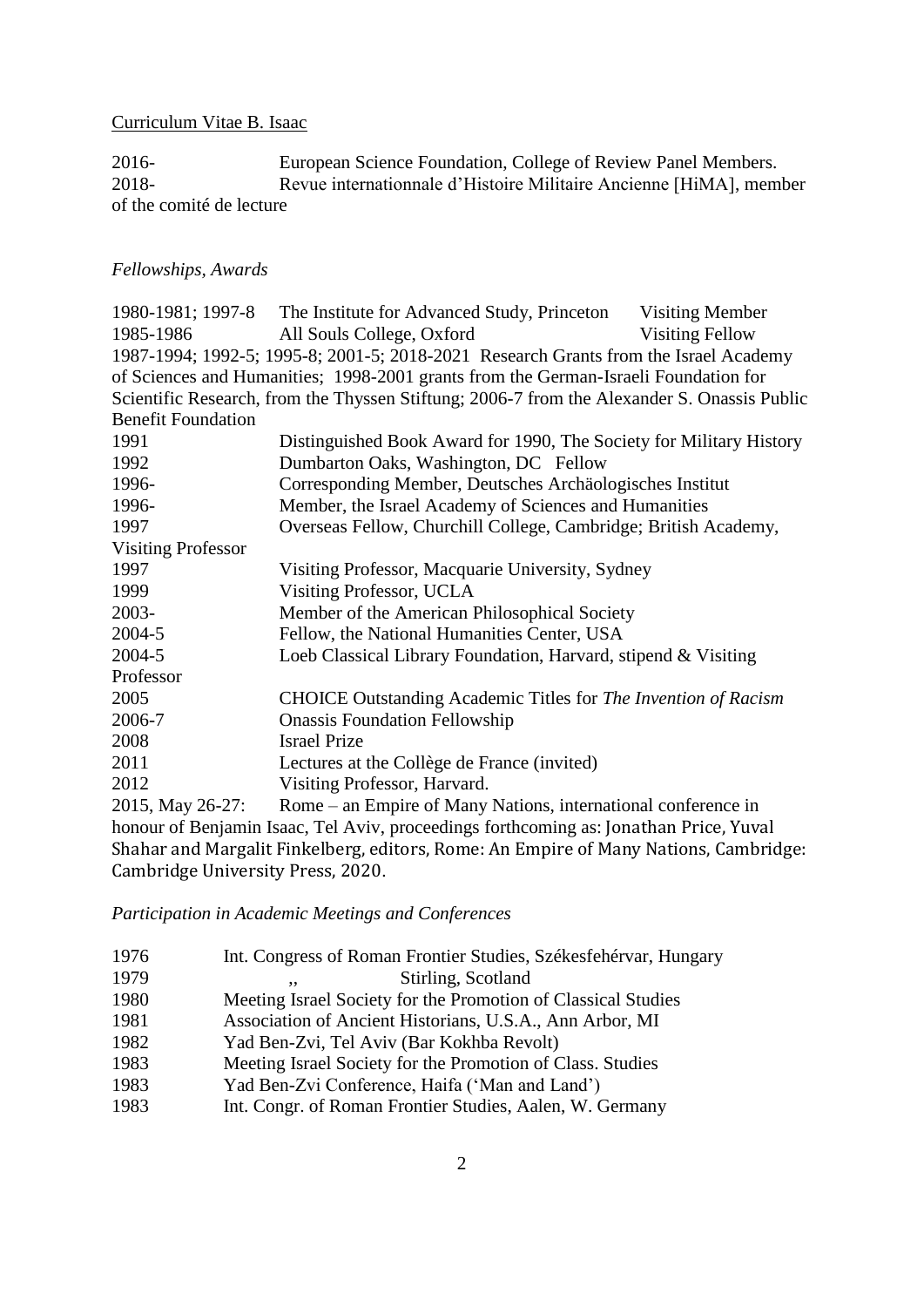2016-<br>
European Science Foundation, College of Review Panel Members.<br>
Revue internationale d'Histoire Militaire Ancienne [HiMA], mem Revue internationnale d'Histoire Militaire Ancienne [HiMA], member of the comité de lecture

## *Fellowships, Awards*

|                                   | 1980-1981; 1997-8 The Institute for Advanced Study, Princeton Visiting Member               |                        |
|-----------------------------------|---------------------------------------------------------------------------------------------|------------------------|
| 1985-1986                         | All Souls College, Oxford                                                                   | <b>Visiting Fellow</b> |
|                                   | 1987-1994; 1992-5; 1995-8; 2001-5; 2018-2021 Research Grants from the Israel Academy        |                        |
|                                   | of Sciences and Humanities; 1998-2001 grants from the German-Israeli Foundation for         |                        |
|                                   | Scientific Research, from the Thyssen Stiftung; 2006-7 from the Alexander S. Onassis Public |                        |
| <b>Benefit Foundation</b>         |                                                                                             |                        |
| 1991                              | Distinguished Book Award for 1990, The Society for Military History                         |                        |
| 1992                              | Dumbarton Oaks, Washington, DC Fellow                                                       |                        |
| 1996-                             | Corresponding Member, Deutsches Archäologisches Institut                                    |                        |
| 1996-                             | Member, the Israel Academy of Sciences and Humanities                                       |                        |
| 1997                              | Overseas Fellow, Churchill College, Cambridge; British Academy,                             |                        |
| <b>Visiting Professor</b>         |                                                                                             |                        |
| 1997                              | Visiting Professor, Macquarie University, Sydney                                            |                        |
| 1999                              | Visiting Professor, UCLA                                                                    |                        |
| 2003-                             | Member of the American Philosophical Society                                                |                        |
| 2004-5                            | Fellow, the National Humanities Center, USA                                                 |                        |
| 2004-5                            | Loeb Classical Library Foundation, Harvard, stipend & Visiting                              |                        |
| Professor                         |                                                                                             |                        |
| 2005                              | CHOICE Outstanding Academic Titles for The Invention of Racism                              |                        |
| 2006-7                            | <b>Onassis Foundation Fellowship</b>                                                        |                        |
| 2008                              | <b>Israel Prize</b>                                                                         |                        |
| 2011                              | Lectures at the Collège de France (invited)                                                 |                        |
| 2012                              | Visiting Professor, Harvard.                                                                |                        |
| 2015, May 26-27:                  | Rome – an Empire of Many Nations, international conference in                               |                        |
|                                   | honour of Benjamin Isaac, Tel Aviv, proceedings forthcoming as: Jonathan Price, Yuval       |                        |
|                                   | Shahar and Margalit Finkelberg, editors, Rome: An Empire of Many Nations, Cambridge:        |                        |
| Cambridge University Press, 2020. |                                                                                             |                        |

*Participation in Academic Meetings and Conferences*

| 1976 | Int. Congress of Roman Frontier Studies, Székesfehérvar, Hungary |
|------|------------------------------------------------------------------|
| 1979 | Stirling, Scotland<br>,,                                         |
| 1980 | Meeting Israel Society for the Promotion of Classical Studies    |
| 1981 | Association of Ancient Historians, U.S.A., Ann Arbor, MI         |
| 1982 | Yad Ben-Zvi, Tel Aviv (Bar Kokhba Revolt)                        |
| 1983 | Meeting Israel Society for the Promotion of Class. Studies       |
| 1983 | Yad Ben-Zvi Conference, Haifa ('Man and Land')                   |
| 1983 | Int. Congr. of Roman Frontier Studies, Aalen, W. Germany         |
|      |                                                                  |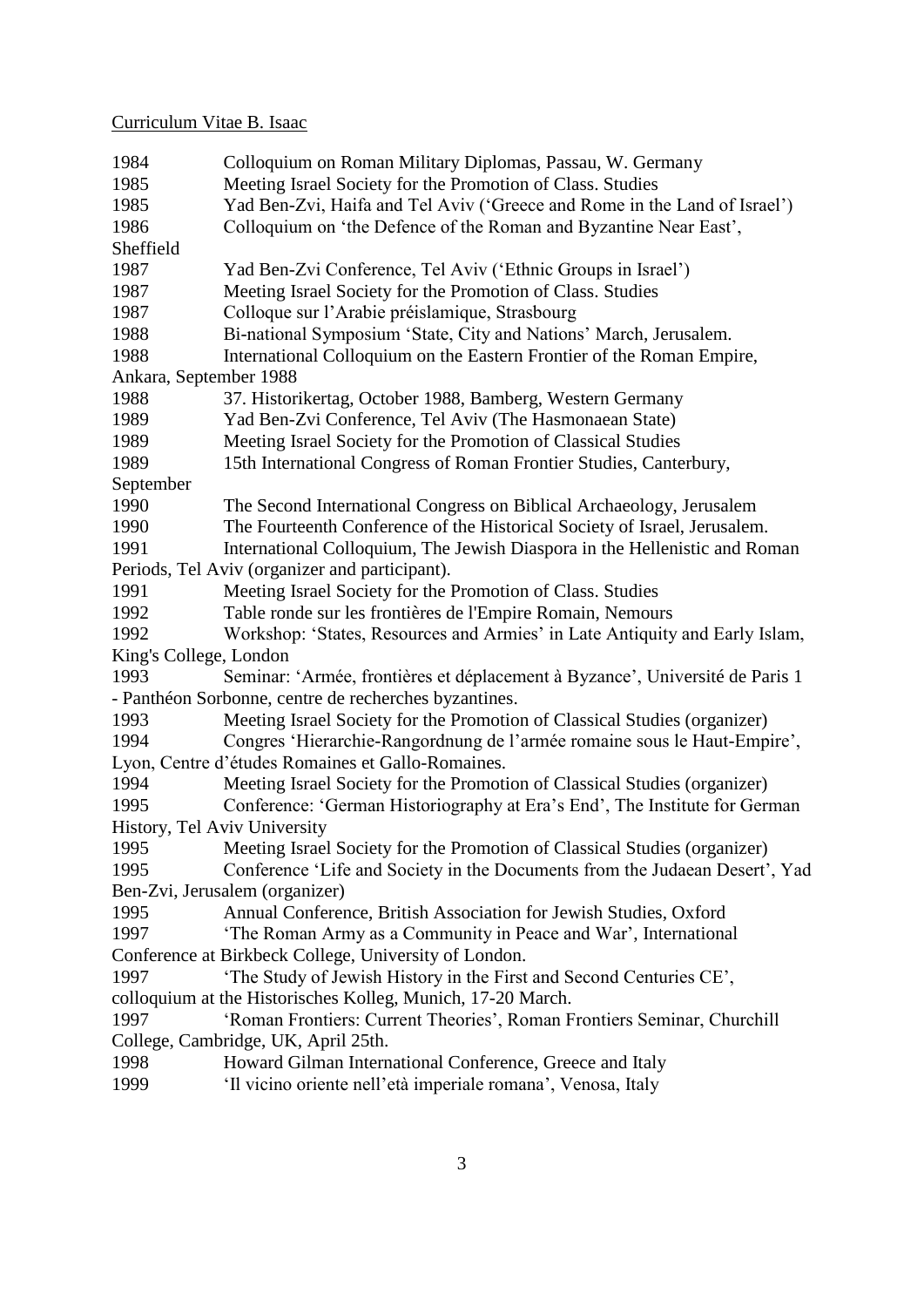| 1984                                | Colloquium on Roman Military Diplomas, Passau, W. Germany                    |  |
|-------------------------------------|------------------------------------------------------------------------------|--|
| 1985                                | Meeting Israel Society for the Promotion of Class. Studies                   |  |
| 1985                                | Yad Ben-Zvi, Haifa and Tel Aviv ('Greece and Rome in the Land of Israel')    |  |
| 1986                                | Colloquium on 'the Defence of the Roman and Byzantine Near East',            |  |
| Sheffield                           |                                                                              |  |
| 1987                                | Yad Ben-Zvi Conference, Tel Aviv ('Ethnic Groups in Israel')                 |  |
| 1987                                | Meeting Israel Society for the Promotion of Class. Studies                   |  |
| 1987                                | Colloque sur l'Arabie préislamique, Strasbourg                               |  |
| 1988                                | Bi-national Symposium 'State, City and Nations' March, Jerusalem.            |  |
| 1988                                | International Colloquium on the Eastern Frontier of the Roman Empire,        |  |
| Ankara, September 1988              |                                                                              |  |
| 1988                                | 37. Historikertag, October 1988, Bamberg, Western Germany                    |  |
| 1989                                | Yad Ben-Zvi Conference, Tel Aviv (The Hasmonaean State)                      |  |
| 1989                                | Meeting Israel Society for the Promotion of Classical Studies                |  |
| 1989                                | 15th International Congress of Roman Frontier Studies, Canterbury,           |  |
| September                           |                                                                              |  |
| 1990                                | The Second International Congress on Biblical Archaeology, Jerusalem         |  |
| 1990                                | The Fourteenth Conference of the Historical Society of Israel, Jerusalem.    |  |
| 1991                                | International Colloquium, The Jewish Diaspora in the Hellenistic and Roman   |  |
|                                     | Periods, Tel Aviv (organizer and participant).                               |  |
| 1991                                | Meeting Israel Society for the Promotion of Class. Studies                   |  |
| 1992                                | Table ronde sur les frontières de l'Empire Romain, Nemours                   |  |
| 1992                                | Workshop: 'States, Resources and Armies' in Late Antiquity and Early Islam,  |  |
| King's College, London              |                                                                              |  |
| 1993                                | Seminar: 'Armée, frontières et déplacement à Byzance', Université de Paris 1 |  |
|                                     | - Panthéon Sorbonne, centre de recherches byzantines.                        |  |
| 1993                                | Meeting Israel Society for the Promotion of Classical Studies (organizer)    |  |
| 1994                                | Congres 'Hierarchie-Rangordnung de l'armée romaine sous le Haut-Empire',     |  |
|                                     | Lyon, Centre d'études Romaines et Gallo-Romaines.                            |  |
| 1994                                | Meeting Israel Society for the Promotion of Classical Studies (organizer)    |  |
| 1995                                | Conference: 'German Historiography at Era's End', The Institute for German   |  |
| History, Tel Aviv University        |                                                                              |  |
| 1995                                | Meeting Israel Society for the Promotion of Classical Studies (organizer)    |  |
| 1995                                | Conference 'Life and Society in the Documents from the Judaean Desert', Yad  |  |
| Ben-Zvi, Jerusalem (organizer)      |                                                                              |  |
| 1995                                | Annual Conference, British Association for Jewish Studies, Oxford            |  |
| 1997                                | 'The Roman Army as a Community in Peace and War', International              |  |
|                                     | Conference at Birkbeck College, University of London.                        |  |
| 1997                                | 'The Study of Jewish History in the First and Second Centuries CE',          |  |
|                                     | colloquium at the Historisches Kolleg, Munich, 17-20 March.                  |  |
| 1997                                | 'Roman Frontiers: Current Theories', Roman Frontiers Seminar, Churchill      |  |
| College, Cambridge, UK, April 25th. |                                                                              |  |
| 1998                                |                                                                              |  |
|                                     | Howard Gilman International Conference, Greece and Italy                     |  |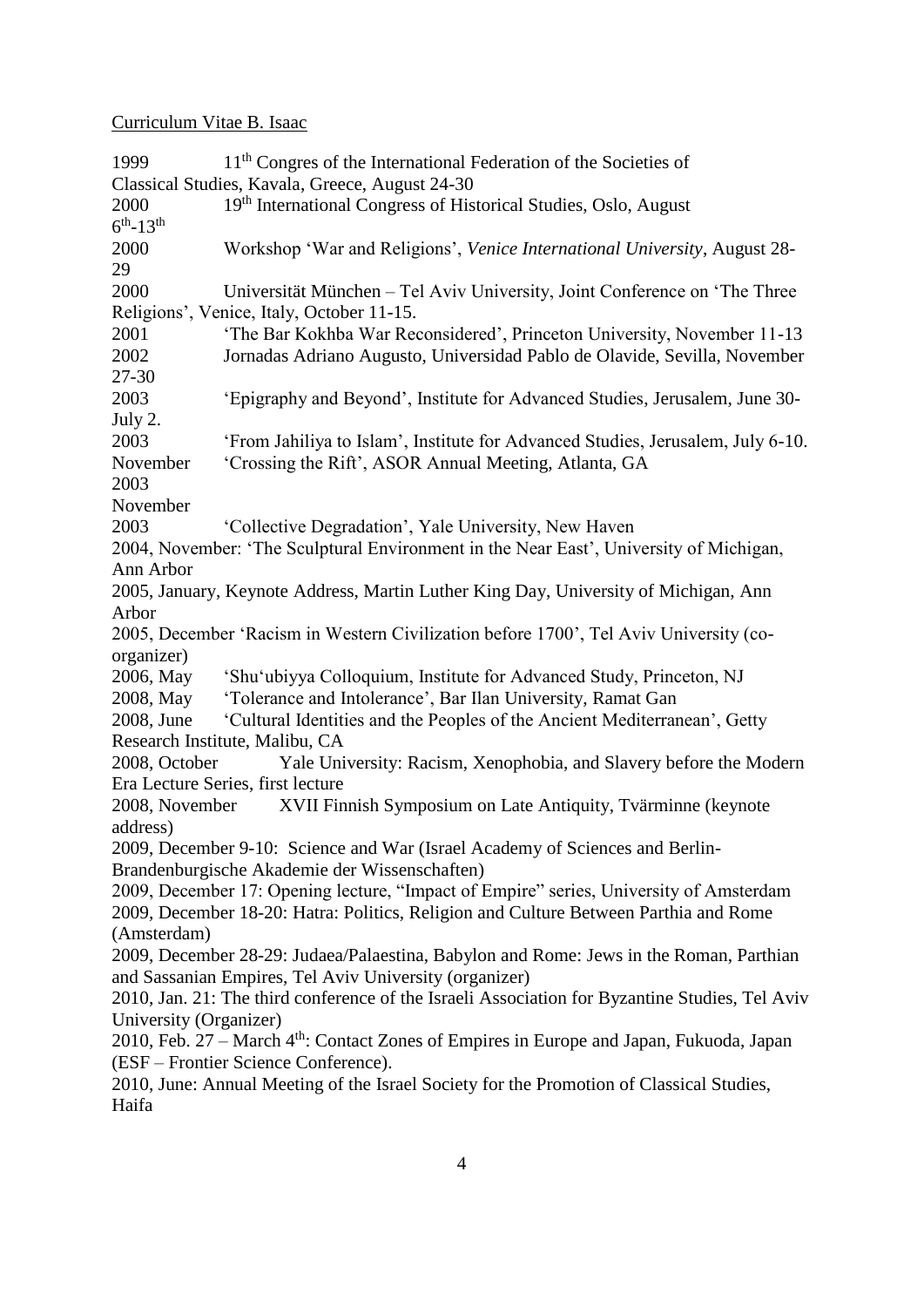1999 11<sup>th</sup> Congres of the International Federation of the Societies of Classical Studies, Kavala, Greece, August 24-30 2000 19<sup>th</sup> International Congress of Historical Studies, Oslo, August  $6^{th}$ -13<sup>th</sup> 2000 Workshop 'War and Religions', *Venice International University*, August 28- 29 2000 Universität München – Tel Aviv University, Joint Conference on 'The Three Religions', Venice, Italy, October 11-15. 2001 'The Bar Kokhba War Reconsidered', Princeton University, November 11-13 2002 Jornadas Adriano Augusto, Universidad Pablo de Olavide, Sevilla, November 27-30 2003 'Epigraphy and Beyond', Institute for Advanced Studies, Jerusalem, June 30- July 2. 2003 'From Jahiliya to Islam', Institute for Advanced Studies, Jerusalem, July 6-10. November 'Crossing the Rift', ASOR Annual Meeting, Atlanta, GA 2003 November 2003 'Collective Degradation', Yale University, New Haven 2004, November: 'The Sculptural Environment in the Near East', University of Michigan, Ann Arbor 2005, January, Keynote Address, Martin Luther King Day, University of Michigan, Ann Arbor 2005, December 'Racism in Western Civilization before 1700', Tel Aviv University (coorganizer) 2006, May 'Shu'ubiyya Colloquium, Institute for Advanced Study, Princeton, NJ 2008, May 'Tolerance and Intolerance', Bar Ilan University, Ramat Gan 2008, June 'Cultural Identities and the Peoples of the Ancient Mediterranean', Getty Research Institute, Malibu, CA 2008, October Yale University: Racism, Xenophobia, and Slavery before the Modern Era Lecture Series, first lecture 2008, November XVII Finnish Symposium on Late Antiquity, Tvärminne (keynote address) 2009, December 9-10: Science and War (Israel Academy of Sciences and Berlin-Brandenburgische Akademie der Wissenschaften) 2009, December 17: Opening lecture, "Impact of Empire" series, University of Amsterdam 2009, December 18-20: Hatra: Politics, Religion and Culture Between Parthia and Rome (Amsterdam) 2009, December 28-29: Judaea/Palaestina, Babylon and Rome: Jews in the Roman, Parthian and Sassanian Empires, Tel Aviv University (organizer) 2010, Jan. 21: The third conference of the Israeli Association for Byzantine Studies, Tel Aviv University (Organizer) 2010, Feb. 27 – March 4th: Contact Zones of Empires in Europe and Japan, Fukuoda, Japan (ESF – Frontier Science Conference). 2010, June: Annual Meeting of the Israel Society for the Promotion of Classical Studies, Haifa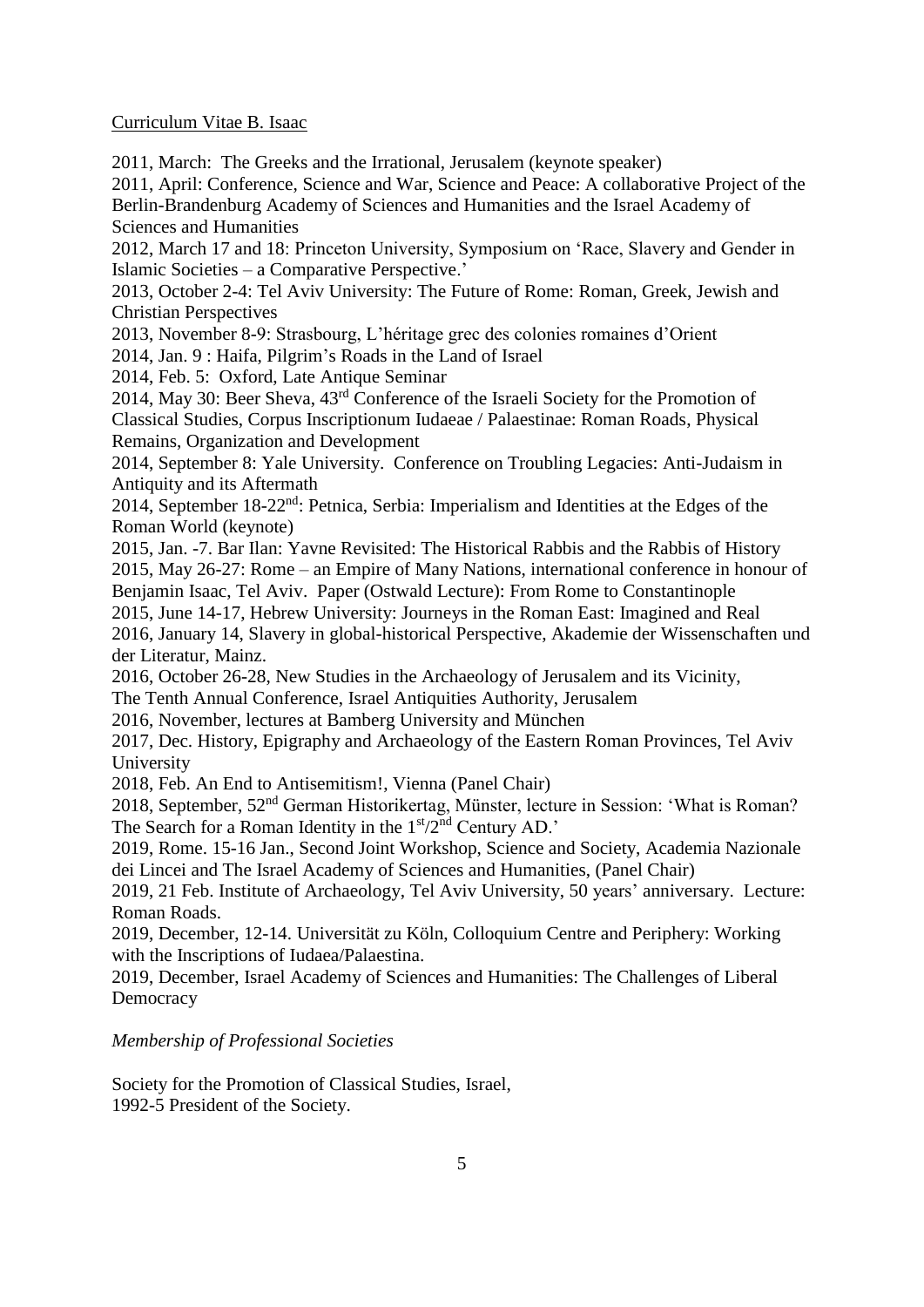2011, March: The Greeks and the Irrational, Jerusalem (keynote speaker)

2011, April: [Conference,](http://www.bbaw.de/veranstaltungen/2011/april/academies%20meet) [Science and War, Science and Peace: A collaborative Project of the](http://www.bbaw.de/veranstaltungen/2011/april/academies%20meet)  [Berlin-Brandenburg Academy of Sciences and Humanities and the Israel Academy of](http://www.bbaw.de/veranstaltungen/2011/april/academies%20meet)  [Sciences and Humanities](http://www.bbaw.de/veranstaltungen/2011/april/academies%20meet)

2012, March 17 and 18: Princeton University, Symposium on 'Race, Slavery and Gender in Islamic Societies – a Comparative Perspective.'

2013, October 2-4: Tel Aviv University: The Future of Rome: Roman, Greek, Jewish and Christian Perspectives

2013, November 8-9: Strasbourg, L'héritage grec des colonies romaines d'Orient

2014, Jan. 9 : Haifa, Pilgrim's Roads in the Land of Israel

2014, Feb. 5: Oxford, Late Antique Seminar

2014, May 30: Beer Sheva, 43rd Conference of the Israeli Society for the Promotion of Classical Studies, Corpus Inscriptionum Iudaeae / Palaestinae: Roman Roads, Physical Remains, Organization and Development

2014, September 8: Yale University. Conference on Troubling Legacies: Anti-Judaism in Antiquity and its Aftermath

2014, September 18-22nd: Petnica, Serbia: Imperialism and Identities at the Edges of the Roman World (keynote)

2015, Jan. -7. Bar Ilan: Yavne Revisited: The Historical Rabbis and the Rabbis of History 2015, May 26-27: Rome – an Empire of Many Nations, international conference in honour of Benjamin Isaac, Tel Aviv. Paper (Ostwald Lecture): From Rome to Constantinople

2015, June 14-17, Hebrew University: Journeys in the Roman East: Imagined and Real 2016, January 14, Slavery in global-historical Perspective, Akademie der Wissenschaften und der Literatur, Mainz.

2016, October 26-28, New Studies in the Archaeology of Jerusalem and its Vicinity, The Tenth Annual Conference, Israel Antiquities Authority, Jerusalem

2016, November, lectures at Bamberg University and München

2017, Dec. History, Epigraphy and Archaeology of the Eastern Roman Provinces, Tel Aviv University

2018, Feb. An End to Antisemitism!, Vienna (Panel Chair)

2018, September, 52nd German Historikertag, Münster, lecture in Session: 'What is Roman? The Search for a Roman Identity in the  $1<sup>st</sup>/2<sup>nd</sup>$  Century AD.'

2019, Rome. 15-16 Jan., Second Joint Workshop, Science and Society, Academia Nazionale dei Lincei and The Israel Academy of Sciences and Humanities, (Panel Chair)

2019, 21 Feb. Institute of Archaeology, Tel Aviv University, 50 years' anniversary. Lecture: Roman Roads.

2019, December, 12-14. Universität zu Köln, Colloquium Centre and Periphery: Working with the Inscriptions of Iudaea/Palaestina.

2019, December, Israel Academy of Sciences and Humanities: The Challenges of Liberal **Democracy** 

#### *Membership of Professional Societies*

Society for the Promotion of Classical Studies, Israel, 1992-5 President of the Society.